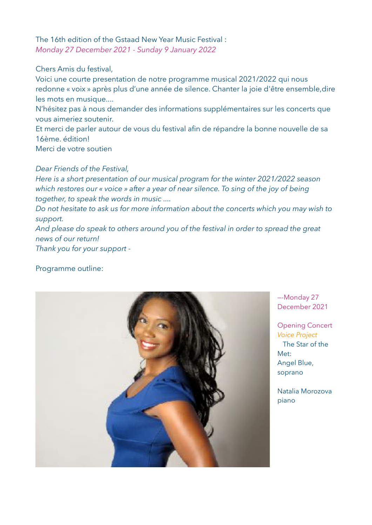Chers Amis du festival,

Voici une courte presentation de notre programme musical 2021/2022 qui nous redonne « voix » après plus d'une année de silence. Chanter la joie d'être ensemble,dire les mots en musique....

N'hésitez pas à nous demander des informations supplémentaires sur les concerts que vous aimeriez soutenir.

Et merci de parler autour de vous du festival afin de répandre la bonne nouvelle de sa 16ème. édition!

Merci de votre soutien

# *Dear Friends of the Festival,*

*Here is a short presentation of our musical program for the winter 2021/2022 season which restores our « voice » after a year of near silence. To sing of the joy of being together, to speak the words in music ....* 

*Do not hesitate to ask us for more information about the concerts which you may wish to support.* 

*And please do speak to others around you of the festival in order to spread the great news of our return!* 

*Thank you for your support -* 

## Programme outline:



—-Monday 27 December 2021

Opening Concert *Voice Project* The Star of the Met: Angel Blue, soprano

Natalia Morozova piano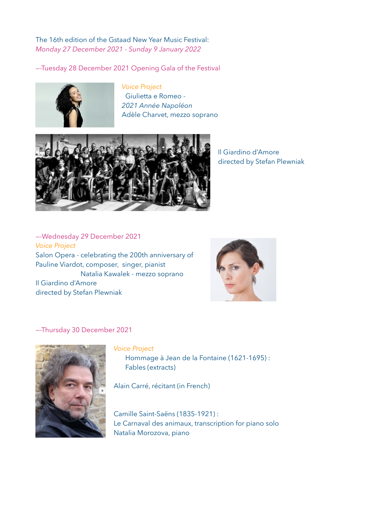—-Tuesday 28 December 2021 Opening Gala of the Festival



*Voice Project* Giulietta e Romeo - *2021 Année Napoléon* Adèle Charvet, mezzo soprano



Il Giardino d'Amore directed by Stefan Plewniak

—-Wednesday 29 December 2021 *Voice Project*  Salon Opera - celebrating the 200th anniversary of Pauline Viardot, composer, singer, pianist Natalia Kawalek - mezzo soprano Il Giardino d'Amore directed by Stefan Plewniak



—-Thursday 30 December 2021



*Voice Project*  Hommage à Jean de la Fontaine (1621-1695) : Fables (extracts)

Alain Carré, récitant (in French)

Camille Saint-Saëns (1835-1921) : Le Carnaval des animaux, transcription for piano solo Natalia Morozova, piano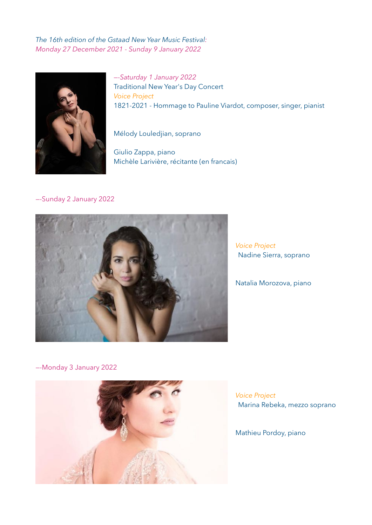

*—-Saturday 1 January 2022*  Traditional New Year's Day Concert *Voice Project* 1821-2021 - Hommage to Pauline Viardot, composer, singer, pianist

Mélody Louledjian, soprano

Giulio Zappa, piano Michèle Larivière, récitante (en francais)

#### —-Sunday 2 January 2022



*Voice Project*  Nadine Sierra, soprano

Natalia Morozova, piano

—-Monday 3 January 2022



*Voice Project*  Marina Rebeka, mezzo soprano

Mathieu Pordoy, piano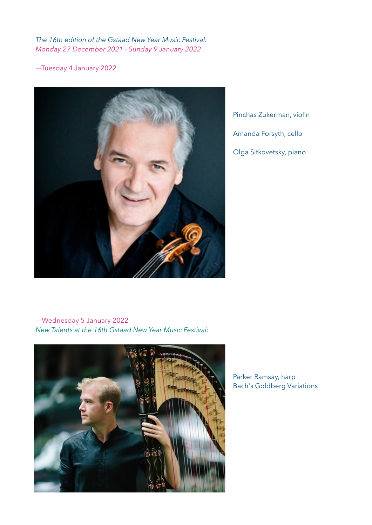—-Tuesday 4 January 2022



Pinchas Zukerman, violin Amanda Forsyth, cello Olga Sitkovetsky, piano

### —-Wednesday 5 January 2022 *New Talents at the 16th Gstaad New Year Music Festival*:



### Parker Ramsay, harp Bach's Goldberg Variations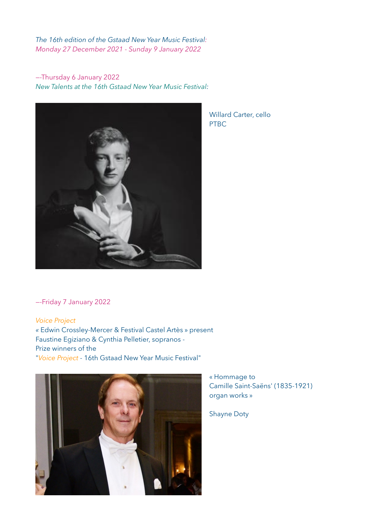—-Thursday 6 January 2022 *New Talents at the 16th Gstaad New Year Music Festival:*



Willard Carter, cello PTBC

—-Friday 7 January 2022

*Voice Project «* Edwin Crossley-Mercer & Festival Castel Artès » present Faustine Egiziano & Cynthia Pelletier, sopranos - Prize winners of the "*Voice Project* - 16th Gstaad New Year Music Festival"



« Hommage to Camille Saint-Saëns' (1835-1921) organ works »

Shayne Doty